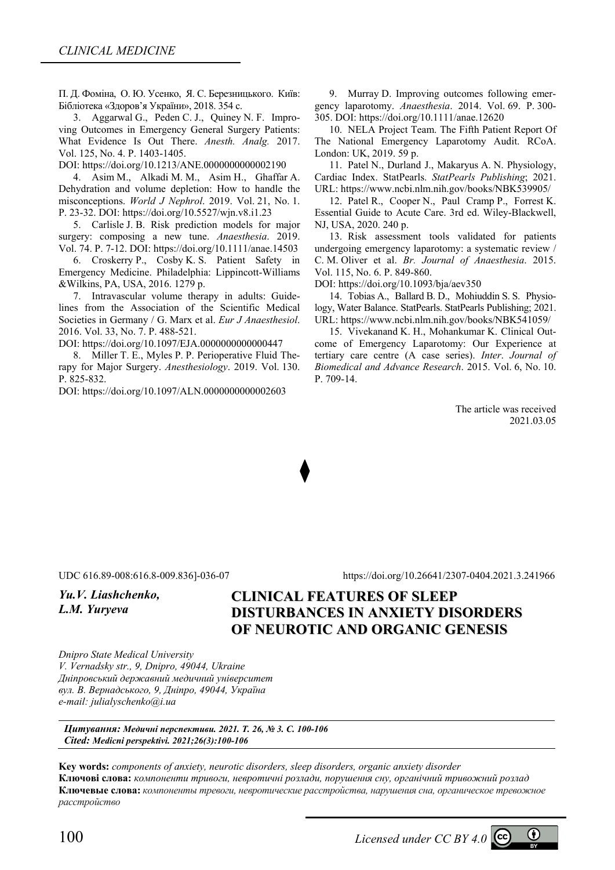П. Д. Фоміна, О. Ю. Усенко, Я. С. Березницького. Київ: Бібліотека «Здоров'я України», 2018. 354 с.

3. Aggarwal G., Peden C. J., Quiney N. F. Improving Outcomes in Emergency General Surgery Patients: What Evidence Is Out There. *Anesth. Analg.* 2017. Vol. 125, No. 4. Р. 1403-1405.

DOI: https://doi.org/10.1213/ANE.0000000000002190

4. Asim M., Alkadi M. M., Asim H., Ghaffar A. Dehydration and volume depletion: How to handle the misconceptions. *World J Nephrol*. 2019. Vol. 21, No. 1. Р. 23-32. DOI: https://doi.org/10.5527/wjn.v8.i1.23

5. Carlisle J. B. Risk prediction models for major surgery: composing a new tune. *Anaesthesia*. 2019. Vol. 74. Р. 7-12. DOI: https://doi.org/10.1111/anae.14503

6. Croskerry P., Cosby K. S. Patient Safety in Emergency Medicine. Philadelphia: Lippincott-Williams &Wilkins, PA, USA, 2016. 1279 p.

7. Intravascular volume therapy in adults: Guidelines from the Association of the Scientific Medical Societies in Germany / G. Marx et al. *Eur J Anaesthesiol*. 2016. Vol. 33, No. 7. Р. 488-521.

DOI: https://doi.org/10.1097/EJA.0000000000000447

8. Miller T. E., Myles P. P. Рerioperative Fluid Therapy for Major Surgery. *Anesthesiology*. 2019. Vol. 130. Р. 825-832.

DOI: https://doi.org/10.1097/ALN.0000000000002603

9. Murray D. Improving outcomes following emergency laparotomy. *Anaesthesia*. 2014. Vol. 69. Р. 300- 305. DOI: https://doi.org/10.1111/anae.12620

10. NELA Project Team. The Fifth Patient Report Of The National Emergency Laparotomy Audit. RCoA. London: UK, 2019. 59 p.

11. Patel N., Durland J., Makaryus A. N. Physiology, Cardiac Index. StatPearls. *StatPearls Publishing*; 2021. URL: https://www.ncbi.nlm.nih.gov/books/NBK539905/

12. Patel R., Cooper N., Paul Cramp P., Forrest K. Essential Guide to Acute Care. 3rd ed. Wiley-Blackwell, NJ, USA, 2020. 240 p.

13. Risk assessment tools validated for patients undergoing emergency laparotomy: a systematic review / C. M. Oliver et al. *Br. Journal of Anaesthesia*. 2015. Vol. 115, No. 6. Р. 849-860.

DOI: https://doi.org/10.1093/bja/aev350

14. Tobias A., Ballard B. D., Mohiuddin S. S. Physiology, Water Balance. StatPearls. StatPearls Publishing; 2021. URL: https://www.ncbi.nlm.nih.gov/books/NBK541059/

15. Vivekanand K. H., Mohankumar K. Clinical Outcome of Emergency Laparotomy: Our Experience at tertiary care centre (A case series). *Inter*. *Journal of Biomedical and Advance Research*. 2015. Vol. 6, No. 10. Р. 709-14.

> The article was received 2021.03.05

*Yu.V. Liashchenko,* 

*L.M. Yuryeva* 

UDC 616.89-008:616.8-009.836]-036-07 https://doi.org/10.26641/2307-0404.2021.3.241966

# **CLINICAL FEATURES OF SLEEP DISTURBANCES IN ANXIETY DISORDERS OF NEUROTIC AND ORGANIC GENESIS**

*Dnipro State Medical University V. Vernadsky str., 9, Dnipro, 49044, Ukraine Дніпровський державний медичний університет вул. В. Вернадського, 9, Дніпро, 49044, Україна e-mail: julialyschenko@i.ua* 

*Цитування: Медичні перспективи. 2021. Т. 26, № 3. С. 100-106 Cited: Medicni perspektivi. 2021;26(3):100-106*

**Key words:** *components of anxiety, neurotic disorders, sleep disorders, organic anxiety disorder*  **Ключові слова:** *компоненти тривоги, невротичні розлади, порушення сну, органічний тривожний розлад* **Ключевые слова:** *компоненты тревоги, невротические расстройства, нарушения сна, органическое тревожное расстройство*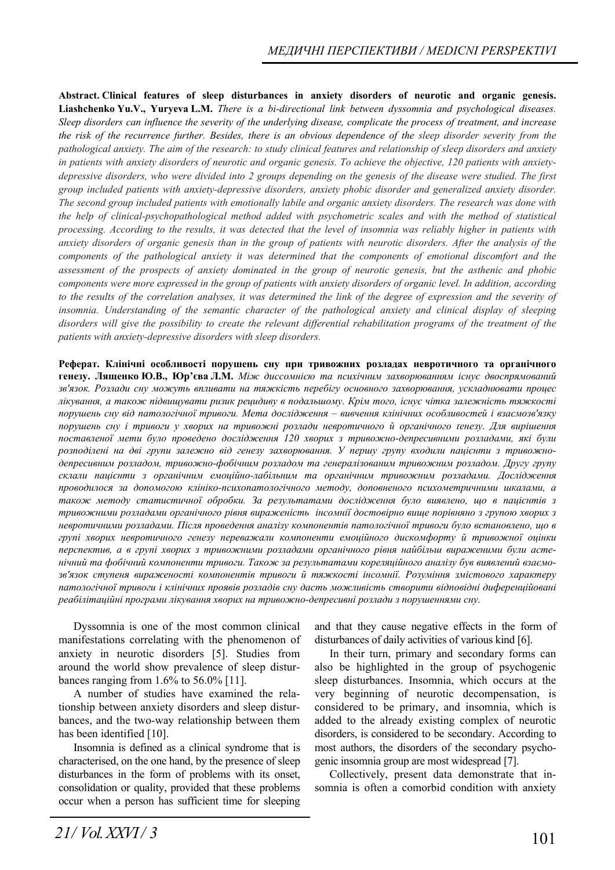**Abstract. Clinical features of sleep disturbances in anxiety disorders of neurotic and organic genesis. Liashchenko Yu.V., Yuryeva L.M.** *There is a bi-directional link between dyssomnia and psychological diseases. Sleep disorders can influence the severity of the underlying disease, complicate the process of treatment, and increase the risk of the recurrence further. Besides, there is an obvious dependence of the sleep disorder severity from the pathological anxiety. The aim of the research: to study clinical features and relationship of sleep disorders and anxiety in patients with anxiety disorders of neurotic and organic genesis. To achieve the objective, 120 patients with anxietydepressive disorders, who were divided into 2 groups depending on the genesis of the disease were studied. The first group included patients with anxiety-depressive disorders, anxiety phobic disorder and generalized anxiety disorder. The second group included patients with emotionally labile and organic anxiety disorders. The research was done with the help of clinical-psychopathological method added with psychometric scales and with the method of statistical processing. According to the results, it was detected that the level of insomnia was reliably higher in patients with anxiety disorders of organic genesis than in the group of patients with neurotic disorders. After the analysis of the components of the pathological anxiety it was determined that the components of emotional discomfort and the assessment of the prospects of anxiety dominated in the group of neurotic genesis, but the asthenic and phobic components were more expressed in the group of patients with anxiety disorders of organic level. In addition, according to the results of the correlation analyses, it was determined the link of the degree of expression and the severity of insomnia. Understanding of the semantic character of the pathological anxiety and clinical display of sleeping*  disorders will give the possibility to create the relevant differential rehabilitation programs of the treatment of the *patients with anxiety-depressive disorders with sleep disorders.*

**Реферат. Клінічні особливості порушень сну при тривожних розладах невротичного та органічного** генезу. Лященко Ю.В., Юр'єва Л.М. Між диссомнією та психічним захворюванням існує двоспрямований *зв'язок. Розлади сну можуть впливати на тяжкість перебігу основного захворювання, ускладнювати процес лікування, а також підвищувати ризик рецидиву в подальшому. Крім того, існує чітка залежність тяжкості порушень сну від патологічної тривоги. Мета дослідження – вивчення клінічних особливостей і взаємозв'язку порушень сну і тривоги у хворих на тривожні розлади невротичного й органічного ґенезу. Для вирішення поставленої мети було проведено дослідження 120 хворих з тривожно-депресивними розладами, які були розподілені на дві групи залежно від генезу захворювання. У першу групу входили пацієнти з тривожнодепресивним розладом, тривожно-фобічним розладом та генералізованим тривожним розладом. Другу групу склали пацієнти з органічним емоційно-лабільним та органічним тривожним розладами. Дослідження проводилося за допомогою клініко-психопатологічного методу, доповненого психометричними шкалами, а також методу статистичної обробки. За результатами дослідження було виявлено, що в пацієнтів з тривожними розладами органічного рівня вираженість інсомнії достовірно вище порівняно з групою хворих з невротичними розладами. Після проведення аналізу компонентів патологічної тривоги було встановлено, що в групі хворих невротичного генезу переважали компоненти емоційного дискомфорту й тривожної оцінки перспектив, а в групі хворих з тривожними розладами органічного рівня найбільш вираженими були астенічний та фобічний компоненти тривоги. Також за результатами кореляційного аналізу був виявлений взаємозв'язок ступеня вираженості компонентів тривоги й тяжкості інсомнії. Розуміння змістового характеру патологічної тривоги і клінічних проявів розладів сну дасть можливість створити відповідні диференційовані реабілітаційні програми лікування хворих на тривожно-депресивні розлади з порушеннями сну.* 

Dyssomnia is one of the most common clinical manifestations correlating with the phenomenon of anxiety in neurotic disorders [5]. Studies from around the world show prevalence of sleep disturbances ranging from 1.6% to 56.0% [11].

A number of studies have examined the relationship between anxiety disorders and sleep disturbances, and the two-way relationship between them has been identified [10].

Insomnia is defined as a clinical syndrome that is characterised, on the one hand, by the presence of sleep disturbances in the form of problems with its onset, consolidation or quality, provided that these problems occur when a person has sufficient time for sleeping and that they cause negative effects in the form of disturbances of daily activities of various kind [6].

In their turn, primary and secondary forms can also be highlighted in the group of psychogenic sleep disturbances. Insomnia, which occurs at the very beginning of neurotic decompensation, is considered to be primary, and insomnia, which is added to the already existing complex of neurotic disorders, is considered to be secondary. According to most authors, the disorders of the secondary psychogenic insomnia group are most widespread [7].

Collectively, present data demonstrate that insomnia is often a comorbid condition with anxiety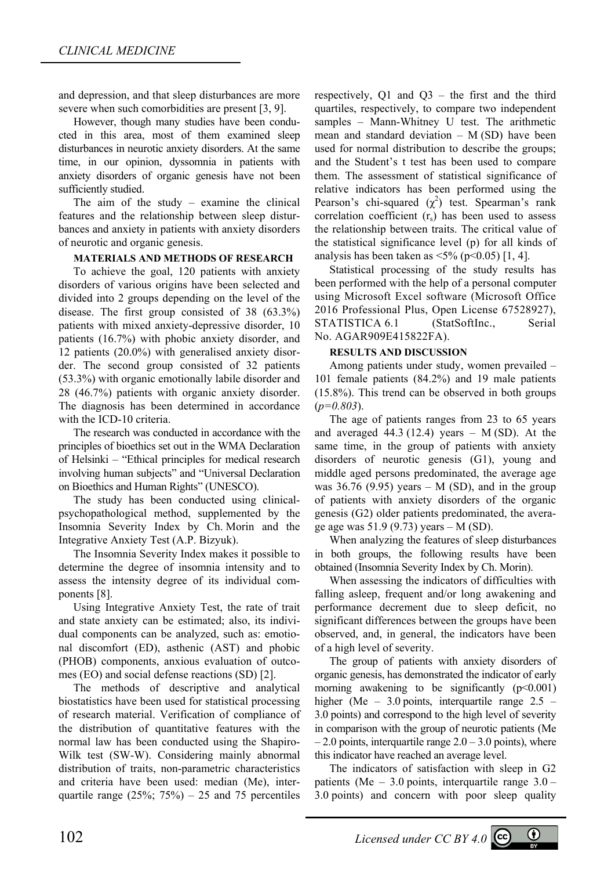and depression, and that sleep disturbances are more severe when such comorbidities are present [3, 9].

However, though many studies have been conducted in this area, most of them examined sleep disturbances in neurotic anxiety disorders. At the same time, in our opinion, dyssomnia in patients with anxiety disorders of organic genesis have not been sufficiently studied.

The aim of the study – examine the clinical features and the relationship between sleep disturbances and anxiety in patients with anxiety disorders of neurotic and organic genesis.

### **MATERIALS AND METHODS OF RESEARCH**

To achieve the goal, 120 patients with anxiety disorders of various origins have been selected and divided into 2 groups depending on the level of the disease. The first group consisted of 38 (63.3%) patients with mixed anxiety-depressive disorder, 10 patients (16.7%) with phobic anxiety disorder, and 12 patients (20.0%) with generalised anxiety disorder. The second group consisted of 32 patients (53.3%) with organic emotionally labile disorder and 28 (46.7%) patients with organic anxiety disorder. The diagnosis has been determined in accordance with the ICD-10 criteria.

The research was conducted in accordance with the principles of bioethics set out in the WMA Declaration of Helsinki – "Ethical principles for medical research involving human subjects" and "Universal Declaration on Bioethics and Human Rights" (UNESCO).

The study has been conducted using clinicalpsychopathological method, supplemented by the Insomnia Severity Index by Ch. Morin and the Integrative Anxiety Test (A.P. Bizyuk).

The Insomnia Severity Index makes it possible to determine the degree of insomnia intensity and to assess the intensity degree of its individual components [8].

Using Integrative Anxiety Test, the rate of trait and state anxiety can be estimated; also, its individual components can be analyzed, such as: emotional discomfort (ED), asthenic (AST) and phobic (PHOB) components, anxious evaluation of outcomes (EO) and social defense reactions (SD) [2].

The methods of descriptive and analytical biostatistics have been used for statistical processing of research material. Verification of compliance of the distribution of quantitative features with the normal law has been conducted using the Shapiro-Wilk test (SW-W). Considering mainly abnormal distribution of traits, non-parametric characteristics and criteria have been used: median (Me), interquartile range  $(25\%; 75\%) - 25$  and 75 percentiles

respectively, Q1 and Q3 – the first and the third quartiles, respectively, to compare two independent samples – Mann-Whitney U test. The arithmetic mean and standard deviation  $- M(SD)$  have been used for normal distribution to describe the groups; and the Student's t test has been used to compare them. The assessment of statistical significance of relative indicators has been performed using the Pearson's chi-squared  $(\chi^2)$  test. Spearman's rank correlation coefficient  $(r<sub>s</sub>)$  has been used to assess the relationship between traits. The critical value of the statistical significance level (p) for all kinds of analysis has been taken as  $\leq 5\%$  (p $\leq 0.05$ ) [1, 4].

Statistical processing of the study results has been performed with the help of a personal computer using Microsoft Excel software (Microsoft Office 2016 Professional Plus, Open License 67528927), STATISTICA 6.1 (StatSoftInc., Serial No. AGAR909E415822FA).

### **RESULTS AND DISCUSSION**

Among patients under study, women prevailed – 101 female patients (84.2%) and 19 male patients (15.8%). This trend can be observed in both groups (*р=0.803*).

The age of patients ranges from 23 to 65 years and averaged  $44.3$  (12.4) years – M (SD). At the same time, in the group of patients with anxiety disorders of neurotic genesis (G1), young and middle aged persons predominated, the average age was 36.76 (9.95) years  $-$  M (SD), and in the group of patients with anxiety disorders of the organic genesis (G2) older patients predominated, the average age was 51.9 (9.73) years – M (SD).

When analyzing the features of sleep disturbances in both groups, the following results have been obtained (Insomnia Severity Index by Ch. Morin).

When assessing the indicators of difficulties with falling asleep, frequent and/or long awakening and performance decrement due to sleep deficit, no significant differences between the groups have been observed, and, in general, the indicators have been of a high level of severity.

The group of patients with anxiety disorders of organic genesis, has demonstrated the indicator of early morning awakening to be significantly  $(p<0.001)$ higher (Me – 3.0 points, interquartile range 2.5 – 3.0 points) and correspond to the high level of severity in comparison with the group of neurotic patients (Me  $-2.0$  points, interquartile range  $2.0 - 3.0$  points), where this indicator have reached an average level.

The indicators of satisfaction with sleep in G2 patients (Me  $-3.0$  points, interquartile range  $3.0 -$ 3.0 points) and concern with poor sleep quality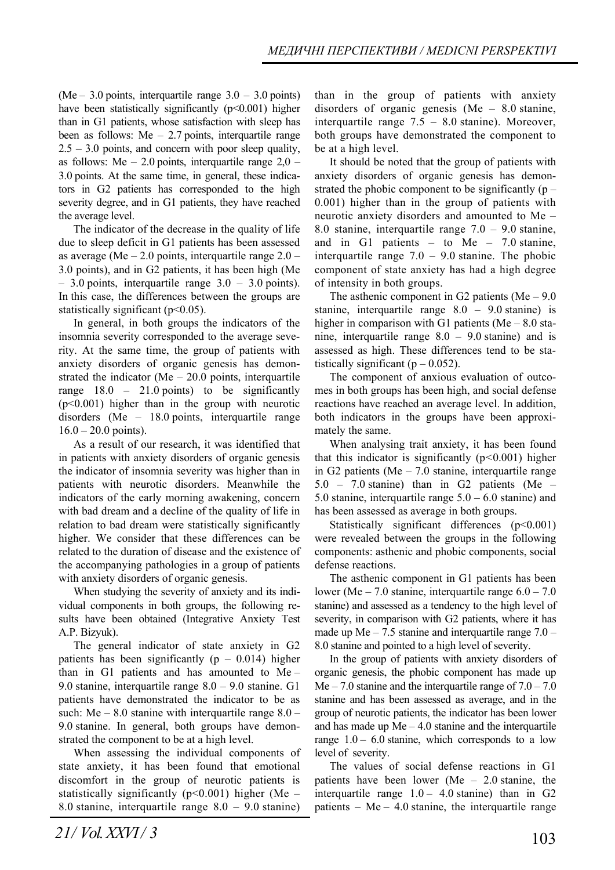(Me – 3.0 points, interquartile range  $3.0 - 3.0$  points) have been statistically significantly (p<0.001) higher than in G1 patients, whose satisfaction with sleep has been as follows:  $Me - 2.7$  points, interquartile range  $2.5 - 3.0$  points, and concern with poor sleep quality, as follows: Me  $-2.0$  points, interquartile range  $2.0$  – 3.0 points. At the same time, in general, these indicators in G2 patients has corresponded to the high severity degree, and in G1 patients, they have reached the average level.

The indicator of the decrease in the quality of life due to sleep deficit in G1 patients has been assessed as average (Me  $-2.0$  points, interquartile range  $2.0 -$ 3.0 points), and in G2 patients, it has been high (Me  $-3.0$  points, interquartile range  $3.0 - 3.0$  points). In this case, the differences between the groups are statistically significant (p<0.05).

In general, in both groups the indicators of the insomnia severity corresponded to the average severity. At the same time, the group of patients with anxiety disorders of organic genesis has demonstrated the indicator ( $Me - 20.0$  points, interquartile range  $18.0 - 21.0$  points) to be significantly (p˂0.001) higher than in the group with neurotic disorders (Me – 18.0 points, interquartile range  $16.0 - 20.0$  points).

As a result of our research, it was identified that in patients with anxiety disorders of organic genesis the indicator of insomnia severity was higher than in patients with neurotic disorders. Meanwhile the indicators of the early morning awakening, concern with bad dream and a decline of the quality of life in relation to bad dream were statistically significantly higher. We consider that these differences can be related to the duration of disease and the existence of the accompanying pathologies in a group of patients with anxiety disorders of organic genesis.

When studying the severity of anxiety and its individual components in both groups, the following results have been obtained (Integrative Anxiety Test A.P. Bizyuk).

The general indicator of state anxiety in G2 patients has been significantly ( $p - 0.014$ ) higher than in G1 patients and has amounted to Me – 9.0 stanine, interquartile range 8.0 – 9.0 stanine. G1 patients have demonstrated the indicator to be as such: Me  $-8.0$  stanine with interquartile range  $8.0 -$ 9.0 stanine. In general, both groups have demonstrated the component to be at a high level.

When assessing the individual components of state anxiety, it has been found that emotional discomfort in the group of neurotic patients is statistically significantly ( $p$ <0.001) higher (Me – 8.0 stanine, interquartile range 8.0 – 9.0 stanine)

than in the group of patients with anxiety disorders of organic genesis (Ме – 8.0 stanine, interquartile range  $7.5 - 8.0$  stanine). Moreover, both groups have demonstrated the component to be at a high level.

It should be noted that the group of patients with anxiety disorders of organic genesis has demonstrated the phobic component to be significantly  $(p -$ 0.001) higher than in the group of patients with neurotic anxiety disorders and amounted to Me – 8.0 stanine, interquartile range 7.0 – 9.0 stanine, and in G1 patients – to Me – 7.0 stanine, interquartile range  $7.0 - 9.0$  stanine. The phobic component of state anxiety has had a high degree of intensity in both groups.

The asthenic component in G2 patients (Me  $-9.0$ ) stanine, interquartile range 8.0 – 9.0 stanine) is higher in comparison with G1 patients ( $Me - 8.0$  stanine, interquartile range 8.0 – 9.0 stanine) and is assessed as high. These differences tend to be statistically significant  $(p - 0.052)$ .

The component of anxious evaluation of outcomes in both groups has been high, and social defense reactions have reached an average level. In addition, both indicators in the groups have been approximately the same.

When analysing trait anxiety, it has been found that this indicator is significantly (р*<*0.001) higher in G2 patients (Me  $-7.0$  stanine, interquartile range 5.0 – 7.0 stanine) than in G2 patients (Ме – 5.0 stanine, interquartile range  $5.0 - 6.0$  stanine) and has been assessed as average in both groups.

Statistically significant differences (p˂0.001) were revealed between the groups in the following components: asthenic and phobic components, social defense reactions.

The asthenic component in G1 patients has been lower (Me  $-7.0$  stanine, interquartile range  $6.0 - 7.0$ stanine) and assessed as a tendency to the high level of severity, in comparison with G2 patients, where it has made up  $Me - 7.5$  stanine and interquartile range  $7.0 -$ 8.0 stanine and pointed to a high level of severity.

In the group of patients with anxiety disorders of organic genesis, the phobic component has made up Me – 7.0 stanine and the interquartile range of  $7.0 - 7.0$ stanine and has been assessed as average, and in the group of neurotic patients, the indicator has been lower and has made up  $Me - 4.0$  stanine and the interquartile range  $1.0 - 6.0$  stanine, which corresponds to a low level of severity.

The values of social defense reactions in G1 patients have been lower (Ме – 2.0 stanine, the interquartile range  $1.0 - 4.0$  stanine) than in G2 patients – Me – 4.0 stanine, the interquartile range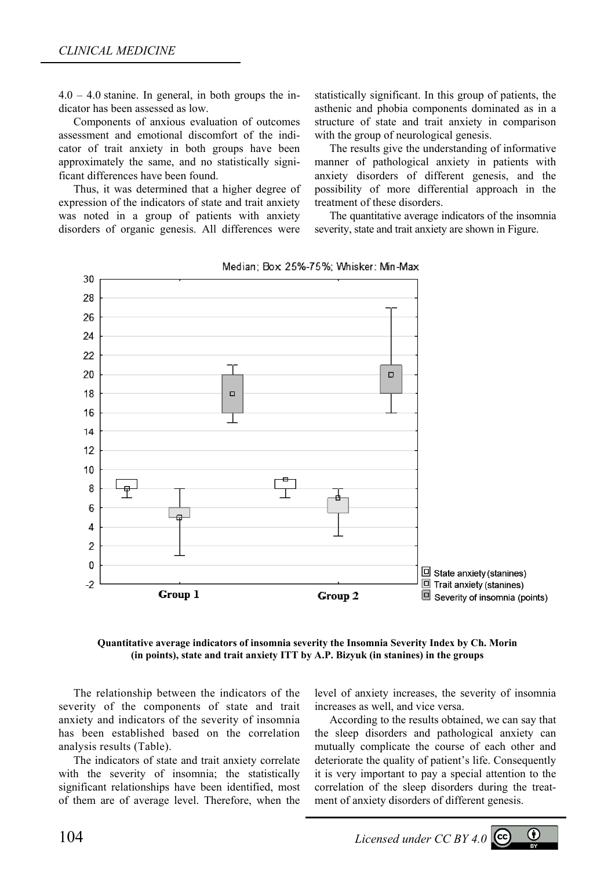$4.0 - 4.0$  stanine. In general, in both groups the indicator has been assessed as low.

Components of anxious evaluation of outcomes assessment and emotional discomfort of the indicator of trait anxiety in both groups have been approximately the same, and no statistically significant differences have been found.

Thus, it was determined that a higher degree of expression of the indicators of state and trait anxiety was noted in a group of patients with anxiety disorders of organic genesis. All differences were statistically significant. In this group of patients, the asthenic and phobia components dominated as in a structure of state and trait anxiety in comparison with the group of neurological genesis.

The results give the understanding of informative manner of pathological anxiety in patients with anxiety disorders of different genesis, and the possibility of more differential approach in the treatment of these disorders.

The quantitative average indicators of the insomnia severity, state and trait anxiety are shown in Figure.



Median; Box 25%-75%; Whisker: Min-Max

**Quantitative average indicators of insomnia severity the Insomnia Severity Index by Ch. Morin (in points), state and trait anxiety ITT by A.P. Bizyuk (in stanines) in the groups** 

The relationship between the indicators of the severity of the components of state and trait anxiety and indicators of the severity of insomnia has been established based on the correlation analysis results (Table).

The indicators of state and trait anxiety correlate with the severity of insomnia; the statistically significant relationships have been identified, most of them are of average level. Therefore, when the level of anxiety increases, the severity of insomnia increases as well, and vice versa.

According to the results obtained, we can say that the sleep disorders and pathological anxiety can mutually complicate the course of each other and deteriorate the quality of patient's life. Consequently it is very important to pay a special attention to the correlation of the sleep disorders during the treatment of anxiety disorders of different genesis.

104 *Licensed under CC BY 4.0*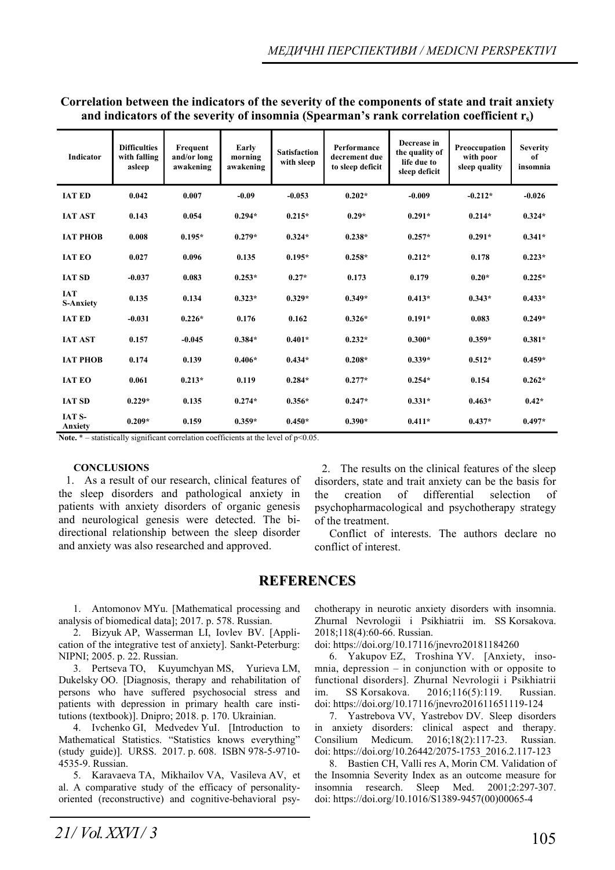**Correlation between the indicators of the severity of the components of state and trait anxiety and indicators of the severity of insomnia (Spearman's rank correlation coefficient rs)** 

| <b>Indicator</b>               | <b>Difficulties</b><br>with falling<br>asleep | Frequent<br>and/or long<br>awakening | Early<br>morning<br>awakening | <b>Satisfaction</b><br>with sleep | Performance<br>decrement due<br>to sleep deficit | Decrease in<br>the quality of<br>life due to<br>sleep deficit | Preoccupation<br>with poor<br>sleep quality | <b>Severity</b><br>of<br>insomnia |
|--------------------------------|-----------------------------------------------|--------------------------------------|-------------------------------|-----------------------------------|--------------------------------------------------|---------------------------------------------------------------|---------------------------------------------|-----------------------------------|
| <b>IAT ED</b>                  | 0.042                                         | 0.007                                | $-0.09$                       | $-0.053$                          | $0.202*$                                         | $-0.009$                                                      | $-0.212*$                                   | $-0.026$                          |
| <b>IAT AST</b>                 | 0.143                                         | 0.054                                | $0.294*$                      | $0.215*$                          | $0.29*$                                          | $0.291*$                                                      | $0.214*$                                    | $0.324*$                          |
| <b>IAT PHOB</b>                | 0.008                                         | $0.195*$                             | $0.279*$                      | $0.324*$                          | $0.238*$                                         | $0.257*$                                                      | $0.291*$                                    | $0.341*$                          |
| <b>IAT EO</b>                  | 0.027                                         | 0.096                                | 0.135                         | $0.195*$                          | $0.258*$                                         | $0.212*$                                                      | 0.178                                       | $0.223*$                          |
| <b>IAT SD</b>                  | $-0.037$                                      | 0.083                                | $0.253*$                      | $0.27*$                           | 0.173                                            | 0.179                                                         | $0.20*$                                     | $0.225*$                          |
| <b>IAT</b><br><b>S-Anxiety</b> | 0.135                                         | 0.134                                | $0.323*$                      | $0.329*$                          | $0.349*$                                         | $0.413*$                                                      | $0.343*$                                    | $0.433*$                          |
| <b>IAT ED</b>                  | $-0.031$                                      | $0.226*$                             | 0.176                         | 0.162                             | $0.326*$                                         | $0.191*$                                                      | 0.083                                       | $0.249*$                          |
| <b>IAT AST</b>                 | 0.157                                         | $-0.045$                             | $0.384*$                      | $0.401*$                          | $0.232*$                                         | $0.300*$                                                      | $0.359*$                                    | $0.381*$                          |
| <b>IAT PHOB</b>                | 0.174                                         | 0.139                                | $0.406*$                      | $0.434*$                          | $0.208*$                                         | $0.339*$                                                      | $0.512*$                                    | $0.459*$                          |
| <b>IAT EO</b>                  | 0.061                                         | $0.213*$                             | 0.119                         | $0.284*$                          | $0.277*$                                         | $0.254*$                                                      | 0.154                                       | $0.262*$                          |
| <b>IAT SD</b>                  | $0.229*$                                      | 0.135                                | $0.274*$                      | $0.356*$                          | $0.247*$                                         | $0.331*$                                                      | $0.463*$                                    | $0.42*$                           |
| <b>IAT S-</b><br>Anxiety       | $0.209*$                                      | 0.159                                | $0.359*$                      | $0.450*$                          | $0.390*$                                         | $0.411*$                                                      | $0.437*$                                    | $0.497*$                          |

**Note.**  $*$  – statistically significant correlation coefficients at the level of  $p<0.05$ .

#### **CONCLUSIONS**

1. As a result of our research, clinical features of the sleep disorders and pathological anxiety in patients with anxiety disorders of organic genesis and neurological genesis were detected. The bidirectional relationship between the sleep disorder and anxiety was also researched and approved.

2. The results on the clinical features of the sleep disorders, state and trait anxiety can be the basis for the creation of differential selection of psychopharmacological and psychotherapy strategy of the treatment.

Conflict of interests. The authors declare no conflict of interest.

## **REFERENCES**

1. Antomonov MYu. [Mathematical processing and analysis of biomedical data]; 2017. p. 578. Russian.

2. Bizyuk AP, Wasserman LI, Iovlev BV. [Application of the integrative test of anxiety]. Sankt-Peterburg: NIPNI; 2005. p. 22. Russian.

3. Pertseva TO, Kuyumchyan MS, Yurieva LM, Dukelsky OO. [Diagnosis, therapy and rehabilitation of persons who have suffered psychosocial stress and patients with depression in primary health care institutions (textbook)]. Dnipro; 2018. p. 170. Ukrainian.

4. Ivchenko GI, Medvedev YuI. [Introduction to Mathematical Statistics. "Statistics knows everything" (study guide)]. URSS. 2017. p. 608. ISBN 978-5-9710- 4535-9. Russian.

5. Karavaeva TA, Mikhailov VA, Vasileva AV, et al. A comparative study of the efficacy of personalityoriented (reconstructive) and cognitive-behavioral psy-

chotherapy in neurotic anxiety disorders with insomnia. Zhurnal Nevrologii i Psikhiatrii im. SS Korsakova. 2018;118(4):60-66. Russian.

doi: https://doi.org/10.17116/jnevro20181184260

6. Yakupov EZ, Troshina YV. [Anxiety, inso $mnia$ , depression  $-$  in conjunction with or opposite to functional disorders]. Zhurnal Nevrologii i Psikhiatrii im. SS Korsakova. 2016;116(5):119. Russian. doi: https://doi.org/10.17116/jnevro201611651119-124

7. Yastrebova VV, Yastrebov DV. Sleep disorders in anxiety disorders: clinical aspect and therapy. Consilium Medicum. 2016;18(2):117-23. Russian. doi: https://doi.org/10.26442/2075-1753\_2016.2.117-123

8. Bastien CH, Valli res A, Morin CM. Validation of the Insomnia Severity Index as an outcome measure for insomnia research. Sleep Med. 2001;2:297-307. doi: https://doi.org/10.1016/S1389-9457(00)00065-4